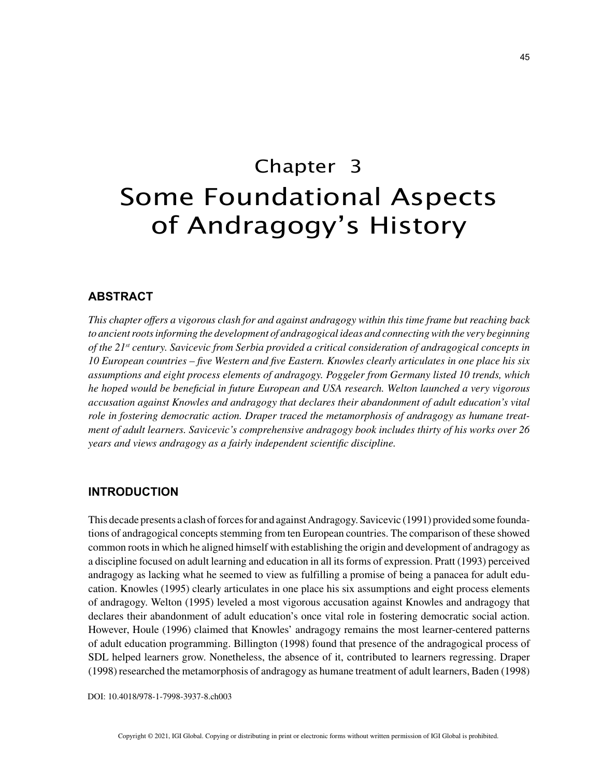# Chapter 3 Some Foundational Aspects of Andragogy's History

## **ABSTRACT**

*This chapter offers a vigorous clash for and against andragogy within this time frame but reaching back to ancient roots informing the development of andragogical ideas and connecting with the very beginning of the 21st century. Savicevic from Serbia provided a critical consideration of andragogical concepts in 10 European countries – five Western and five Eastern. Knowles clearly articulates in one place his six assumptions and eight process elements of andragogy. Poggeler from Germany listed 10 trends, which he hoped would be beneficial in future European and USA research. Welton launched a very vigorous accusation against Knowles and andragogy that declares their abandonment of adult education's vital role in fostering democratic action. Draper traced the metamorphosis of andragogy as humane treatment of adult learners. Savicevic's comprehensive andragogy book includes thirty of his works over 26 years and views andragogy as a fairly independent scientific discipline.*

### **INTRODUCTION**

This decade presents a clash of forces for and against Andragogy. Savicevic (1991) provided some foundations of andragogical concepts stemming from ten European countries. The comparison of these showed common roots in which he aligned himself with establishing the origin and development of andragogy as a discipline focused on adult learning and education in all its forms of expression. Pratt (1993) perceived andragogy as lacking what he seemed to view as fulfilling a promise of being a panacea for adult education. Knowles (1995) clearly articulates in one place his six assumptions and eight process elements of andragogy. Welton (1995) leveled a most vigorous accusation against Knowles and andragogy that declares their abandonment of adult education's once vital role in fostering democratic social action. However, Houle (1996) claimed that Knowles' andragogy remains the most learner-centered patterns of adult education programming. Billington (1998) found that presence of the andragogical process of SDL helped learners grow. Nonetheless, the absence of it, contributed to learners regressing. Draper (1998) researched the metamorphosis of andragogy as humane treatment of adult learners, Baden (1998)

DOI: 10.4018/978-1-7998-3937-8.ch003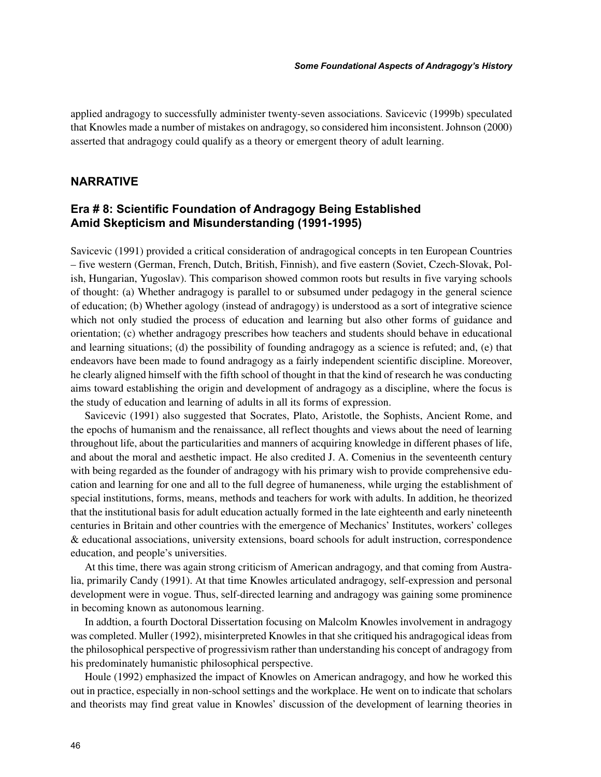applied andragogy to successfully administer twenty-seven associations. Savicevic (1999b) speculated that Knowles made a number of mistakes on andragogy, so considered him inconsistent. Johnson (2000) asserted that andragogy could qualify as a theory or emergent theory of adult learning.

## **NARRATIVE**

## **Era # 8: Scientific Foundation of Andragogy Being Established Amid Skepticism and Misunderstanding (1991-1995)**

Savicevic (1991) provided a critical consideration of andragogical concepts in ten European Countries – five western (German, French, Dutch, British, Finnish), and five eastern (Soviet, Czech-Slovak, Polish, Hungarian, Yugoslav). This comparison showed common roots but results in five varying schools of thought: (a) Whether andragogy is parallel to or subsumed under pedagogy in the general science of education; (b) Whether agology (instead of andragogy) is understood as a sort of integrative science which not only studied the process of education and learning but also other forms of guidance and orientation; (c) whether andragogy prescribes how teachers and students should behave in educational and learning situations; (d) the possibility of founding andragogy as a science is refuted; and, (e) that endeavors have been made to found andragogy as a fairly independent scientific discipline. Moreover, he clearly aligned himself with the fifth school of thought in that the kind of research he was conducting aims toward establishing the origin and development of andragogy as a discipline, where the focus is the study of education and learning of adults in all its forms of expression.

Savicevic (1991) also suggested that Socrates, Plato, Aristotle, the Sophists, Ancient Rome, and the epochs of humanism and the renaissance, all reflect thoughts and views about the need of learning throughout life, about the particularities and manners of acquiring knowledge in different phases of life, and about the moral and aesthetic impact. He also credited J. A. Comenius in the seventeenth century with being regarded as the founder of andragogy with his primary wish to provide comprehensive education and learning for one and all to the full degree of humaneness, while urging the establishment of special institutions, forms, means, methods and teachers for work with adults. In addition, he theorized that the institutional basis for adult education actually formed in the late eighteenth and early nineteenth centuries in Britain and other countries with the emergence of Mechanics' Institutes, workers' colleges & educational associations, university extensions, board schools for adult instruction, correspondence education, and people's universities.

At this time, there was again strong criticism of American andragogy, and that coming from Australia, primarily Candy (1991). At that time Knowles articulated andragogy, self-expression and personal development were in vogue. Thus, self-directed learning and andragogy was gaining some prominence in becoming known as autonomous learning.

In addtion, a fourth Doctoral Dissertation focusing on Malcolm Knowles involvement in andragogy was completed. Muller (1992), misinterpreted Knowles in that she critiqued his andragogical ideas from the philosophical perspective of progressivism rather than understanding his concept of andragogy from his predominately humanistic philosophical perspective.

Houle (1992) emphasized the impact of Knowles on American andragogy, and how he worked this out in practice, especially in non-school settings and the workplace. He went on to indicate that scholars and theorists may find great value in Knowles' discussion of the development of learning theories in